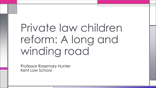# Private law children reform: A long and winding road

Professor Rosemary Hunter Kent Law School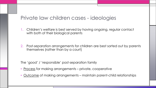#### Private law children cases - ideologies

1. Children's welfare is best served by having ongoing, regular contact with both of their biological parents

2. Post-separation arrangements for children are best sorted out by parents themselves (rather than by a court)

The 'good' / 'responsible' post-separation family

- Process for making arrangements private, cooperative
- Outcome of making arrangements maintain parent-child relationships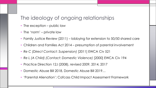### The ideology of ongoing relationships

- The exception public law
- The 'norm' private law
- Family Justice Review (2011) lobbying for extension to 50/50 shared care
- Children and Families Act 2014 presumption of parental involvement
- *Re C (Direct Contact: Suspension)* [2011] EWCA Civ 521
- *Re L (A Child) (Contact: Domestic Violence)* [2000] EWCA Civ 194
- Practice Direction 12J (2008), revised 2009, 2014, 2017
- Domestic Abuse Bill 2018, Domestic Abuse Bill 2019…
- 'Parental Alienation'; Cafcass Child Impact Assessment Framework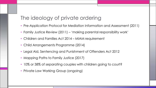## The ideology of private ordering

- Pre-Application Protocol for Mediation Information and Assessment (2011)
- Family Justice Review (2011) 'making parental responsibility work'
- Children and Families Act 2014 MIAM requirement
- Child Arrangements Programme (2014)
- Legal Aid, Sentencing and Punishment of Offenders Act 2012
- Mapping Paths to Family Justice (2017)
- 10% or 38% of separating couples with children going to court?
- Private Law Working Group (ongoing)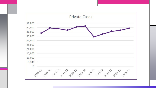